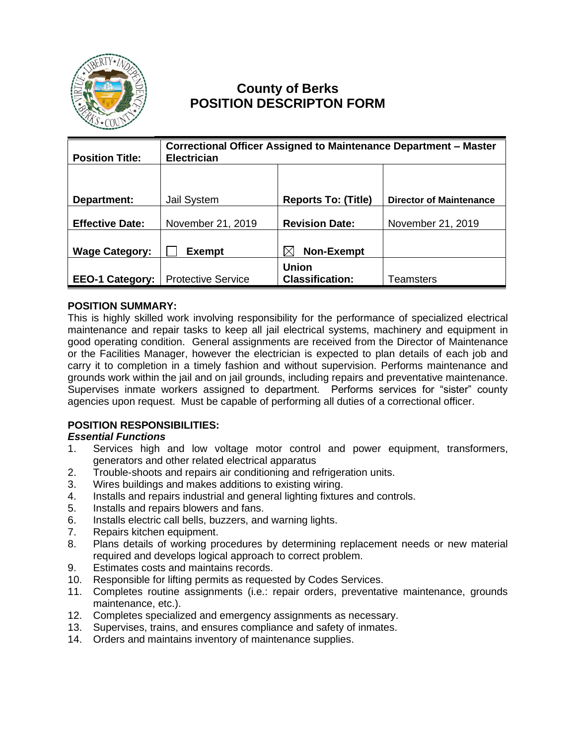

# **County of Berks POSITION DESCRIPTON FORM**

| <b>Position Title:</b> | Correctional Officer Assigned to Maintenance Department - Master<br><b>Electrician</b> |                                        |                                |
|------------------------|----------------------------------------------------------------------------------------|----------------------------------------|--------------------------------|
|                        |                                                                                        |                                        |                                |
| Department:            | Jail System                                                                            | <b>Reports To: (Title)</b>             | <b>Director of Maintenance</b> |
| <b>Effective Date:</b> | November 21, 2019                                                                      | <b>Revision Date:</b>                  | November 21, 2019              |
| <b>Wage Category:</b>  | <b>Exempt</b>                                                                          | <b>Non-Exempt</b>                      |                                |
| <b>EEO-1 Category:</b> | <b>Protective Service</b>                                                              | <b>Union</b><br><b>Classification:</b> | Teamsters                      |

#### **POSITION SUMMARY:**

This is highly skilled work involving responsibility for the performance of specialized electrical maintenance and repair tasks to keep all jail electrical systems, machinery and equipment in good operating condition. General assignments are received from the Director of Maintenance or the Facilities Manager, however the electrician is expected to plan details of each job and carry it to completion in a timely fashion and without supervision. Performs maintenance and grounds work within the jail and on jail grounds, including repairs and preventative maintenance. Supervises inmate workers assigned to department. Performs services for "sister" county agencies upon request. Must be capable of performing all duties of a correctional officer.

## **POSITION RESPONSIBILITIES:**

#### *Essential Functions*

- 1. Services high and low voltage motor control and power equipment, transformers, generators and other related electrical apparatus
- 2. Trouble-shoots and repairs air conditioning and refrigeration units.
- 3. Wires buildings and makes additions to existing wiring.
- 4. Installs and repairs industrial and general lighting fixtures and controls.
- 5. Installs and repairs blowers and fans.
- 6. Installs electric call bells, buzzers, and warning lights.
- 7. Repairs kitchen equipment.
- 8. Plans details of working procedures by determining replacement needs or new material required and develops logical approach to correct problem.
- 9. Estimates costs and maintains records.
- 10. Responsible for lifting permits as requested by Codes Services.
- 11. Completes routine assignments (i.e.: repair orders, preventative maintenance, grounds maintenance, etc.).
- 12. Completes specialized and emergency assignments as necessary.
- 13. Supervises, trains, and ensures compliance and safety of inmates.
- 14. Orders and maintains inventory of maintenance supplies.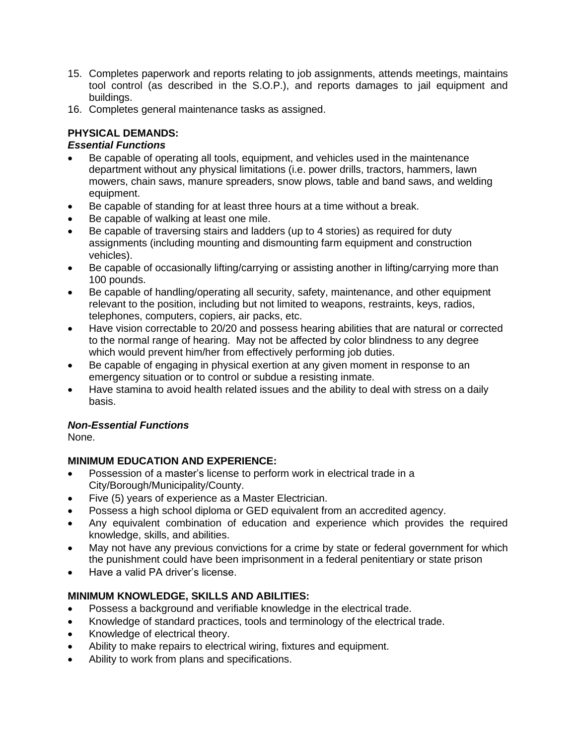- 15. Completes paperwork and reports relating to job assignments, attends meetings, maintains tool control (as described in the S.O.P.), and reports damages to jail equipment and buildings.
- 16. Completes general maintenance tasks as assigned.

## **PHYSICAL DEMANDS:**

## *Essential Functions*

- Be capable of operating all tools, equipment, and vehicles used in the maintenance department without any physical limitations (i.e. power drills, tractors, hammers, lawn mowers, chain saws, manure spreaders, snow plows, table and band saws, and welding equipment.
- Be capable of standing for at least three hours at a time without a break.
- Be capable of walking at least one mile.
- Be capable of traversing stairs and ladders (up to 4 stories) as required for duty assignments (including mounting and dismounting farm equipment and construction vehicles).
- Be capable of occasionally lifting/carrying or assisting another in lifting/carrying more than 100 pounds.
- Be capable of handling/operating all security, safety, maintenance, and other equipment relevant to the position, including but not limited to weapons, restraints, keys, radios, telephones, computers, copiers, air packs, etc.
- Have vision correctable to 20/20 and possess hearing abilities that are natural or corrected to the normal range of hearing. May not be affected by color blindness to any degree which would prevent him/her from effectively performing job duties.
- Be capable of engaging in physical exertion at any given moment in response to an emergency situation or to control or subdue a resisting inmate.
- Have stamina to avoid health related issues and the ability to deal with stress on a daily basis.

## *Non-Essential Functions*

None.

# **MINIMUM EDUCATION AND EXPERIENCE:**

- Possession of a master's license to perform work in electrical trade in a City/Borough/Municipality/County.
- Five (5) years of experience as a Master Electrician.
- Possess a high school diploma or GED equivalent from an accredited agency.
- Any equivalent combination of education and experience which provides the required knowledge, skills, and abilities.
- May not have any previous convictions for a crime by state or federal government for which the punishment could have been imprisonment in a federal penitentiary or state prison
- Have a valid PA driver's license.

# **MINIMUM KNOWLEDGE, SKILLS AND ABILITIES:**

- Possess a background and verifiable knowledge in the electrical trade.
- Knowledge of standard practices, tools and terminology of the electrical trade.
- Knowledge of electrical theory.
- Ability to make repairs to electrical wiring, fixtures and equipment.
- Ability to work from plans and specifications.